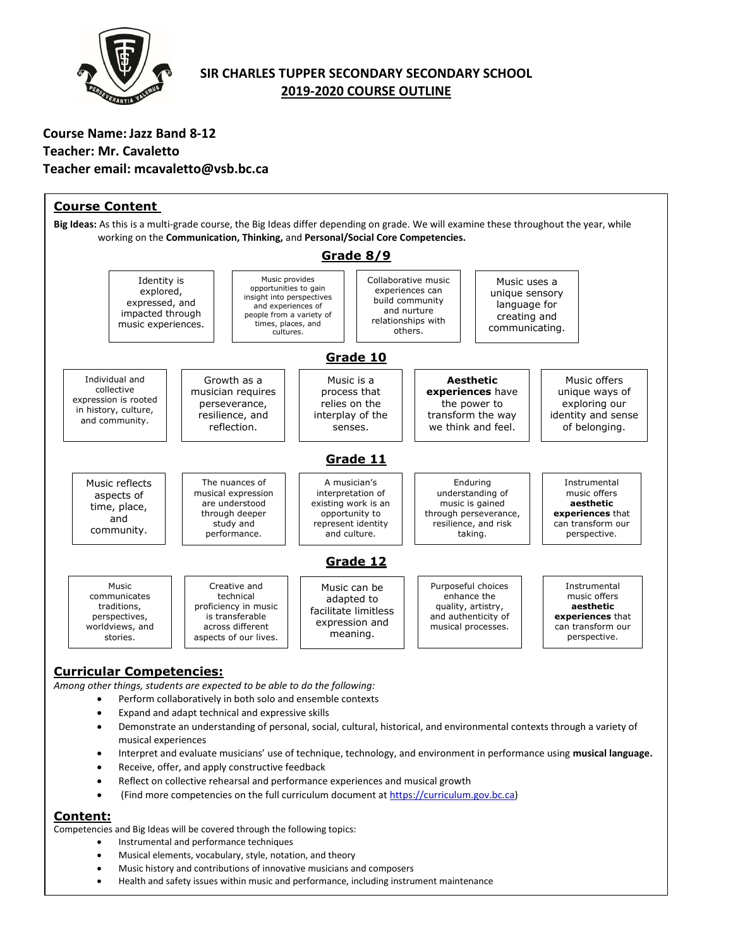

# **SIR CHARLES TUPPER SECONDARY SECONDARY SCHOOL 2019-2020 COURSE OUTLINE**

# **Course Name:Jazz Band 8-12 Teacher: Mr. Cavaletto Teacher email: mcavaletto@vsb.bc.ca**

#### **Course Content Big Ideas:** As this is a multi-grade course, the Big Ideas differ depending on grade. We will examine these throughout the year, while working on the **Communication, Thinking,** and **Personal/Social Core Competencies. Grade 8/9 Grade 10 Grade 11 Grade 12** Identity is explored, expressed, and impacted through music experiences. Music provides opportunities to gain insight into perspectives and experiences of people from a variety of times, places, and cultures. Collaborative music experiences can build community and nurture relationships with others. Music uses a unique sensory language for creating and communicating. Individual and collective expression is rooted in history, culture, and community. Growth as a musician requires perseverance, resilience, and reflection. Music is a process that relies on the interplay of the senses. **Aesthetic experiences** have the power to transform the way we think and feel. Music offers unique ways of exploring our identity and sense of belonging. Music reflects aspects of time, place, and community. The nuances of musical expression are understood through deeper study and performance. A musician's interpretation of existing work is an opportunity to represent identity and culture. Enduring understanding of music is gained through perseverance, resilience, and risk taking. Instrumental music offers **aesthetic experiences** that can transform our perspective. Music can be adapted to facilitate limitless expression and meaning. Purposeful choices enhance the quality, artistry, and authenticity of musical processes. Instrumental music offers **aesthetic experiences** that can transform our perspective. Creative and technical proficiency in music is transferable across different aspects of our lives. Music communicates traditions, perspectives, worldviews, and stories.

# **Curricular Competencies:**

*Among other things, students are expected to be able to do the following:*

- Perform collaboratively in both solo and ensemble contexts
- Expand and adapt technical and expressive skills
- Demonstrate an understanding of personal, social, cultural, historical, and environmental contexts through a variety of musical experiences
- Interpret and evaluate musicians' use of technique, technology, and environment in performance using **musical language.**
- Receive, offer, and apply constructive feedback
- Reflect on collective rehearsal and performance experiences and musical growth
- (Find more competencies on the full curriculum document at [https://curriculum.gov.bc.ca\)](https://curriculum.gov.bc.ca/)

#### **Content:**

Competencies and Big Ideas will be covered through the following topics:

- Instrumental and performance techniques
- Musical elements, vocabulary, style, notation, and theory
- Music history and contributions of innovative musicians and composers
- Health and safety issues within music and performance, including instrument maintenance